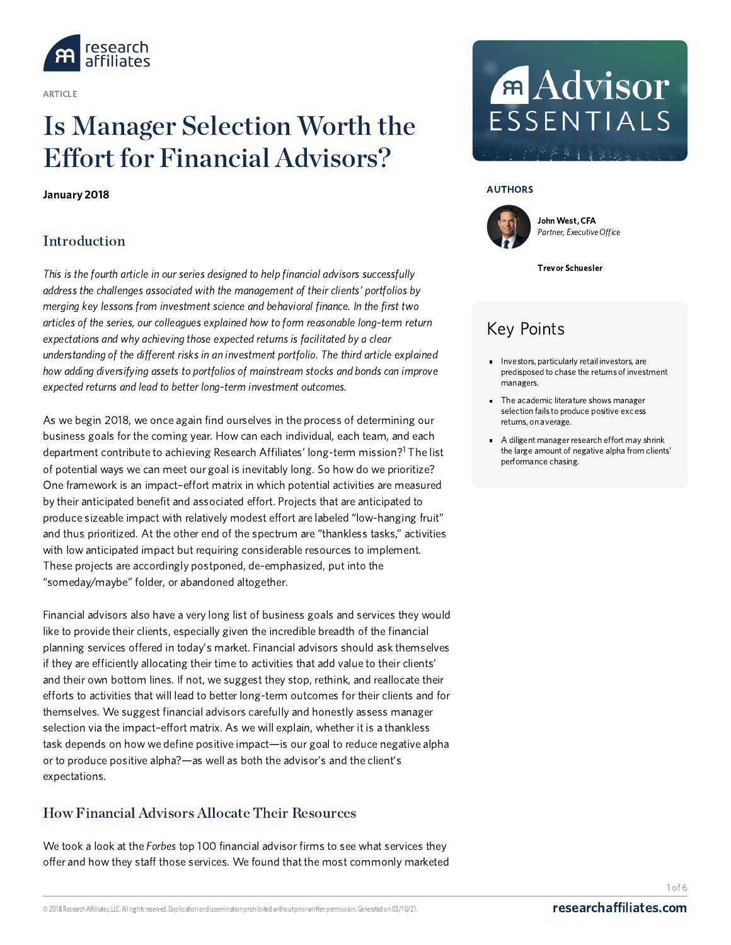

ARTICLE

# Is Manager Selection Worth the Effort for Financial [Advisors?](https://www.researchaffiliates.com/content/ra/na/en_us/publications/articles/650-is-manager-selection-worth-the-effort-for-financial-advisors.html)

January 2018

# Introduction

This is the fourth article in our series designed to help financial advisors successfully address the challenges associated with the management of their clients' portfolios by merging key lessons from investment science and behavioral finance. In the first two articles of the series, our colleagues explained how to form reasonable long-term return expectations and why achieving those expected returns is facilitated by a clear understanding of the different risks in an investment portfolio. The third article explained how adding diversifying assets to portfolios of mainstream stocks and bonds can improve expected returns and lead to better long-term investment outcomes.

As we begin 2018, we once again find ourselves in the process of determining our business goals for the coming year. How can each individual, each team, and each department contribute to achieving Research Affiliates' long-term mission?<sup>1</sup> The list of potential ways we can meet our goal is inevitably long. So how do we prioritize? One framework is an impact–effort matrix in which potential activities are measured by their anticipated benefit and associated effort. Projects that are anticipated to produce sizeable impact with relatively modest effort are labeled "low-hanging fruit" and thus prioritized. At the other end of the spectrum are "thankless tasks," activities with low anticipated impact but requiring considerable resources to implement. These projects are accordingly postponed, de-emphasized, put into the "someday/maybe" folder, or abandoned altogether.

Financial advisors also have a very long list of business goals and services they would like to provide their clients, especially given the incredible breadth of the financial planning services offered in today's market. Financial advisors should ask themselves if they are efficiently allocating their time to activities that add value to their clients' and their own bottom lines. If not, we suggest they stop, rethink, and reallocate their efforts to activities that will lead to better long-term outcomes for their clients and for themselves. We suggest financial advisors carefully and honestly assess manager selection via the impact–effort matrix. As we will explain, whether it is a thankless task depends on how we define positive impact—is our goal to reduce negative alpha or to produce positive alpha?—as well as both the advisor's and the client's expectations.

# How Financial Advisors Allocate Their Resources

We took a look at the Forbes top 100 financial advisor firms to see what services they offer and how they staff those services. We found that the most commonly marketed

# **Advisor** ESSENTIALS

#### AUTHORS



John West, CFA Partner, Executive Office

Trevor Schuesler

# Key Points

- **Investors, particularly retail investors, are** predisposed to chase the returns of investment managers.
- The academic literature shows manager selection fails to produce positive excess returns, on average.
- A diligent manager research effort may shrink the large amount of negative alpha from clients' performance chasing.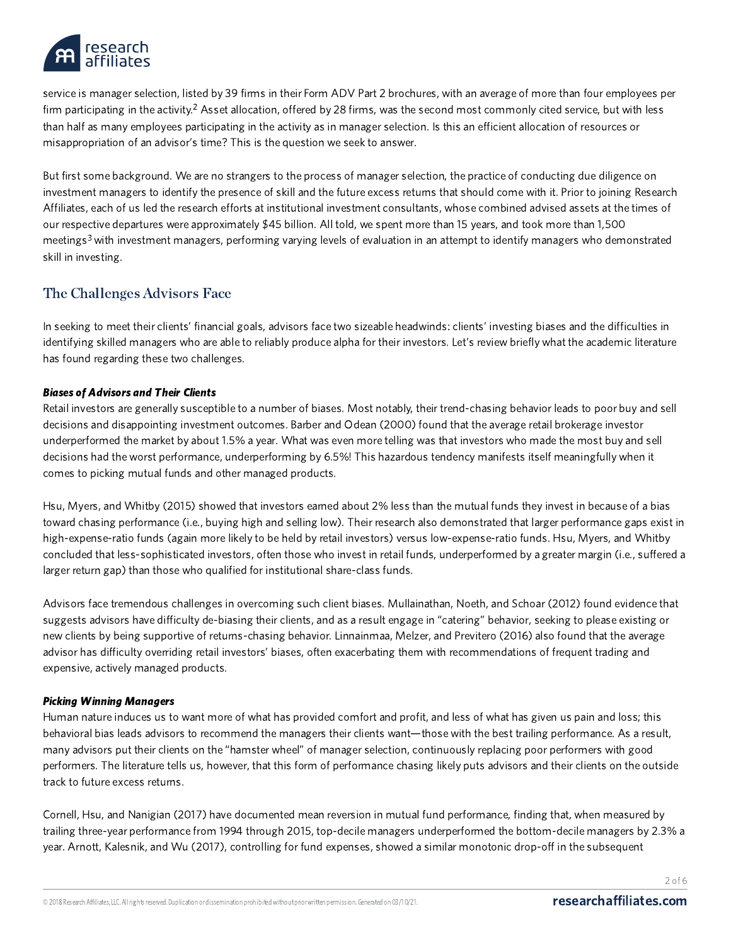

service is manager selection, listed by 39 firms in their Form ADV Part 2 brochures, with an average of more than four employees per firm participating in the activity. $2$  Asset allocation, offered by 28 firms, was the second most commonly cited service, but with less than half as many employees participating in the activity as in manager selection. Is this an efficient allocation of resources or misappropriation of an advisor's time? This is the question we seek to answer.

But first some background. We are no strangers to the process of manager selection, the practice of conducting due diligence on investment managers to identify the presence of skill and the future excess returns that should come with it. Prior to joining Research Affiliates, each of us led the research efforts at institutional investment consultants, whose combined advised assets at the times of our respective departures were approximately \$45 billion. All told, we spent more than 15 years, and took more than 1,500 meetings<sup>3</sup> with investment managers, performing varying levels of evaluation in an attempt to identify managers who demonstrated skill in investing.

### The Challenges Advisors Face

In seeking to meet their clients' financial goals, advisors face two sizeable headwinds: clients' investing biases and the difficulties in identifying skilled managers who are able to reliably produce alpha for their investors. Let's review briefly what the academic literature has found regarding these two challenges.

#### Biases of Advisors and Their Clients

Retail investors are generally susceptible to a number of biases. Most notably, their trend-chasing behavior leads to poor buy and sell decisions and disappointing investment outcomes. Barber and Odean (2000) found that the average retail brokerage investor underperformed the market by about 1.5% a year. What was even more telling was that investors who made the most buy and sell decisions had the worst performance, underperforming by 6.5%! This hazardous tendency manifests itself meaningfully when it comes to picking mutual funds and other managed products.

Hsu, Myers, and Whitby (2015) showed that investors earned about 2% less than the mutual funds they invest in because of a bias toward chasing performance (i.e., buying high and selling low). Their research also demonstrated that larger performance gaps exist in high-expense-ratio funds (again more likely to be held by retail investors) versus low-expense-ratio funds. Hsu, Myers, and Whitby concluded that less-sophisticated investors, often those who invest in retail funds, underperformed by a greater margin (i.e., suffered a larger return gap) than those who qualified for institutional share-class funds.

Advisors face tremendous challenges in overcoming such client biases. Mullainathan, Noeth, and Schoar(2012) found evidence that suggests advisors have difficulty de-biasing their clients, and as a result engage in "catering" behavior, seeking to please existing or new clients by being supportive of returns-chasing behavior. Linnainmaa, Melzer, and Previtero (2016) also found that the average advisor has difficulty overriding retail investors' biases, often exacerbating them with recommendations of frequent trading and expensive, actively managed products.

#### Picking Winning Managers

Human nature induces us to want more of what has provided comfort and profit, and less of what has given us pain and loss; this behavioral bias leads advisors to recommend the managers their clients want—those with the best trailing performance. As a result, many advisors put their clients on the "hamster wheel" of manager selection, continuously replacing poor performers with good performers. The literature tells us, however, that this form of performance chasing likely puts advisors and their clients on the outside track to future excess returns.

Cornell, Hsu, and Nanigian (2017) have documented mean reversion in mutual fund performance, finding that, when measured by trailing three-year performance from 1994 through 2015, top-decile managers underperformed the bottom-decile managers by 2.3% a year. Arnott, Kalesnik, and Wu (2017), controlling for fund expenses, showed a similar monotonic drop-off in the subsequent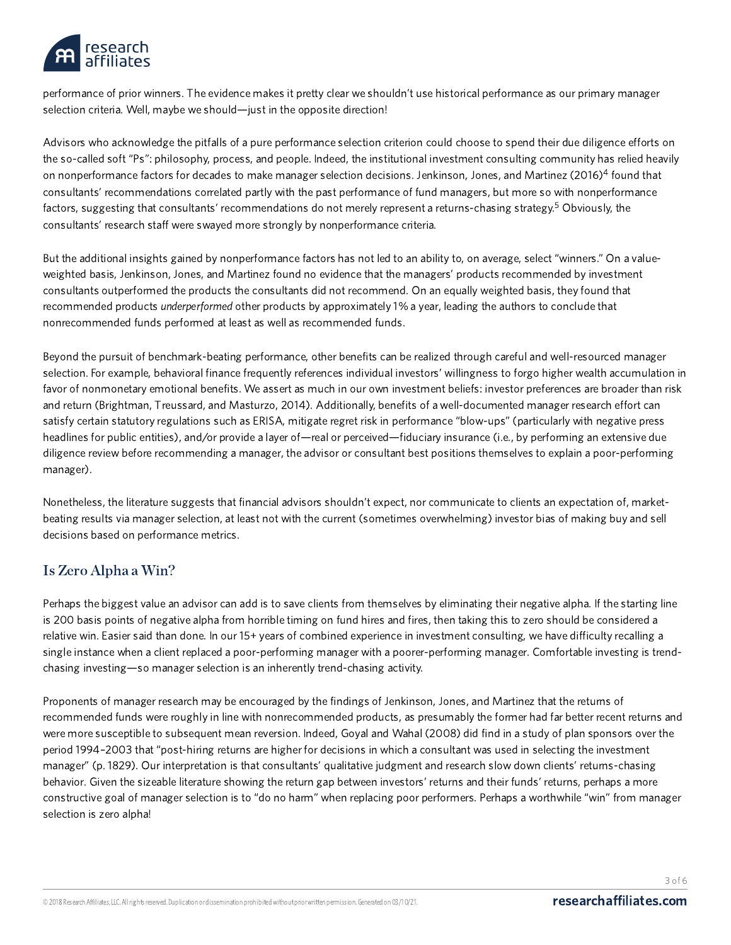

performance of prior winners. The evidence makes it pretty clear we shouldn't use historical performance as our primary manager selection criteria. Well, maybe we should—just in the opposite direction!

Advisors who acknowledge the pitfalls of a pure performance selection criterion could choose to spend their due diligence efforts on the so-called soft "Ps": philosophy, process, and people. Indeed, the institutional investment consulting community has relied heavily on nonperformance factors for decades to make manager selection decisions. Jenkinson, Jones, and Martinez (2016)<sup>4</sup> found that consultants' recommendations correlated partly with the past performance of fund managers, but more so with nonperformance factors, suggesting that consultants' recommendations do not merely represent a returns-chasing strategy.<sup>5</sup> Obviously, the consultants' research staff were swayed more strongly by nonperformance criteria.

But the additional insights gained by nonperformance factors has not led to an ability to, on average, select "winners." On a valueweighted basis, Jenkinson, Jones, and Martinez found no evidence that the managers' products recommended by investment consultants outperformed the products the consultants did not recommend. On an equally weighted basis, they found that recommended products underperformed other products by approximately 1% a year, leading the authors to conclude that nonrecommended funds performed at least as well as recommended funds.

Beyond the pursuit of benchmark-beating performance, other benefits can be realized through careful and well-resourced manager selection. For example, behavioral finance frequently references individual investors' willingness to forgo higher wealth accumulation in favor of nonmonetary emotional benefits. We assert as much in our own investment beliefs: investor preferences are broader than risk and return (Brightman, Treussard, and Masturzo, 2014). Additionally, benefits of a well-documented manager research effort can satisfy certain statutory regulations such as ERISA, mitigate regret risk in performance "blow-ups" (particularly with negative press headlines for public entities), and/or provide a layer of—real or perceived—fiduciary insurance (i.e., by performing an extensive due diligence review before recommending a manager, the advisor or consultant best positions themselves to explain a poor-performing manager).

Nonetheless, the literature suggests that financial advisors shouldn't expect, nor communicate to clients an expectation of, marketbeating results via manager selection, at least not with the current (sometimes overwhelming) investor bias of making buy and sell decisions based on performance metrics.

# Is Zero Alpha a Win?

Perhaps the biggest value an advisor can add is to save clients from themselves by eliminating their negative alpha. If the starting line is 200 basis points of negative alpha from horrible timing on fund hires and fires, then taking this to zero should be considered a relative win. Easier said than done. In our 15+ years of combined experience in investment consulting, we have difficulty recalling a single instance when a client replaced a poor-performing manager with a poorer-performing manager. Comfortable investing is trendchasing investing—so manager selection is an inherently trend-chasing activity.

Proponents of manager research may be encouraged by the findings of Jenkinson, Jones, and Martinez that the returns of recommended funds were roughly in line with nonrecommended products, as presumably the former had far better recent returns and were more susceptible to subsequent mean reversion. Indeed, Goyal and Wahal (2008) did find in a study of plan sponsors over the period 1994–2003 that "post-hiring returns are higher for decisions in which a consultant was used in selecting the investment manager" (p. 1829). Our interpretation is that consultants' qualitative judgment and research slow down clients' returns-chasing behavior. Given the sizeable literature showing the return gap between investors' returns and their funds' returns, perhaps a more constructive goal of manager selection is to "do no harm" when replacing poor performers. Perhaps a worthwhile "win" from manager selection is zero alpha!

3 of 6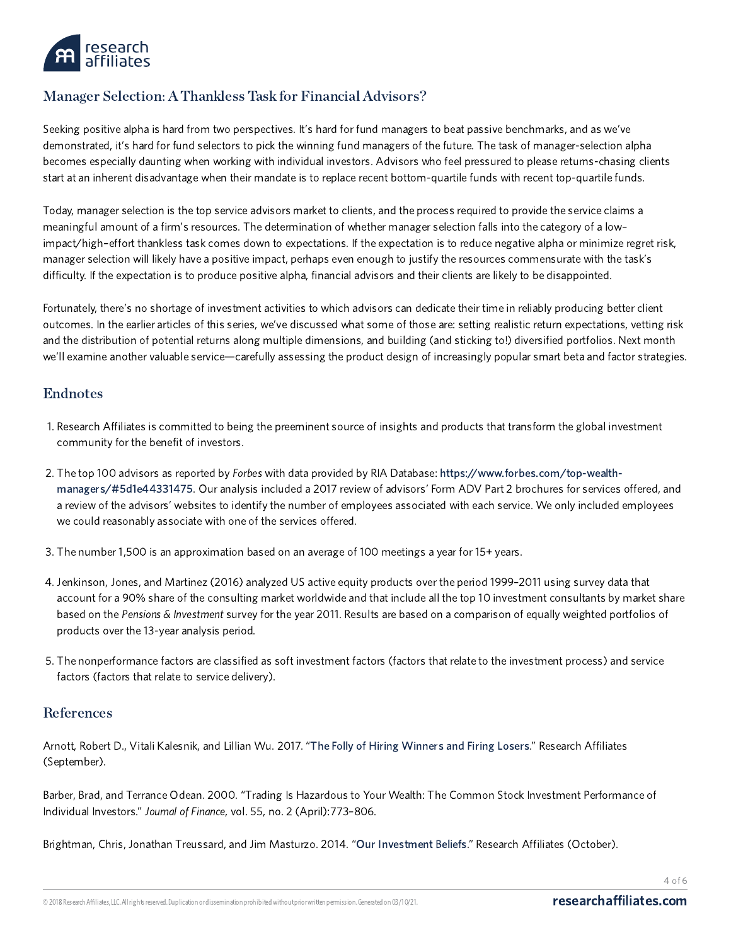

# Manager Selection: A Thankless Task for Financial Advisors?

Seeking positive alpha is hard from two perspectives. It's hard for fund managers to beat passive benchmarks, and as we've demonstrated, it's hard for fund selectors to pick the winning fund managers of the future. The task of manager-selection alpha becomes especially daunting when working with individual investors. Advisors who feel pressured to please returns-chasing clients start at an inherent disadvantage when their mandate is to replace recent bottom-quartile funds with recent top-quartile funds.

Today, manager selection is the top service advisors market to clients, and the process required to provide the service claims a meaningful amount of a firm's resources. The determination of whether manager selection falls into the category of a low– impact/high–effort thankless task comes down to expectations. If the expectation is to reduce negative alpha or minimize regret risk, manager selection will likely have a positive impact, perhaps even enough to justify the resources commensurate with the task's difficulty. If the expectation is to produce positive alpha, financial advisors and their clients are likely to be disappointed.

Fortunately, there's no shortage of investment activities to which advisors can dedicate their time in reliably producing better client outcomes. In the earlier articles of this series, we've discussed what some of those are: setting realistic return expectations, vetting risk and the distribution of potential returns along multiple dimensions, and building (and sticking to!) diversified portfolios. Next month we'll examine another valuable service—carefully assessing the product design of increasingly popular smart beta and factor strategies.

### Endnotes

- 1. Research Affiliates is committed to being the preeminent source of insights and products that transform the global investment community for the benefit of investors.
- 2. The top 100 advisors as reported by Forbes with data provided by RIA Database: [https://www.forbes.com/top-wealth](https://www.forbes.com/top-wealth-managers/#5d1e44331475)managers/#5d1e44331475. Our analysis included a 2017 review of advisors' Form ADV Part 2 brochures for services offered, and a review of the advisors' websites to identify the number of employees associated with each service. We only included employees we could reasonably associate with one of the services offered.
- 3. The number 1,500 is an approximation based on an average of 100 meetings a year for 15+ years.
- 4. Jenkinson, Jones, and Martinez (2016) analyzed US active equity products over the period 1999–2011 using survey data that account for a 90% share of the consulting market worldwide and that include all the top 10 investment consultants by market share based on the Pensions & Investment survey for the year 2011. Results are based on a comparison of equally weighted portfolios of products over the 13-year analysis period.
- 5. The nonperformance factors are classified as soft investment factors (factors that relate to the investment process) and service factors (factors that relate to service delivery).

#### References

Arnott, Robert D., Vitali Kalesnik, and Lillian Wu. 2017. "The Folly of Hiring [Winners](https://www.researchaffiliates.com/content/ra/na/en_us/publications/articles/630-the-folly-of-hiring-winners-and-firing-losers.html) and Firing Losers." Research Affiliates (September).

Barber, Brad, and Terrance Odean. 2000. "Trading Is Hazardous to Your Wealth: The Common Stock Investment Performance of Individual Investors." Journal of Finance, vol. 55, no. 2 (April):773–806.

Brightman, Chris, Jonathan Treussard, and Jim Masturzo. 2014. "Our [Investment](https://www.researchaffiliates.com/content/ra/na/en_us/publications/articles/316_our_investment_beliefs.html) Beliefs." Research Affiliates (October).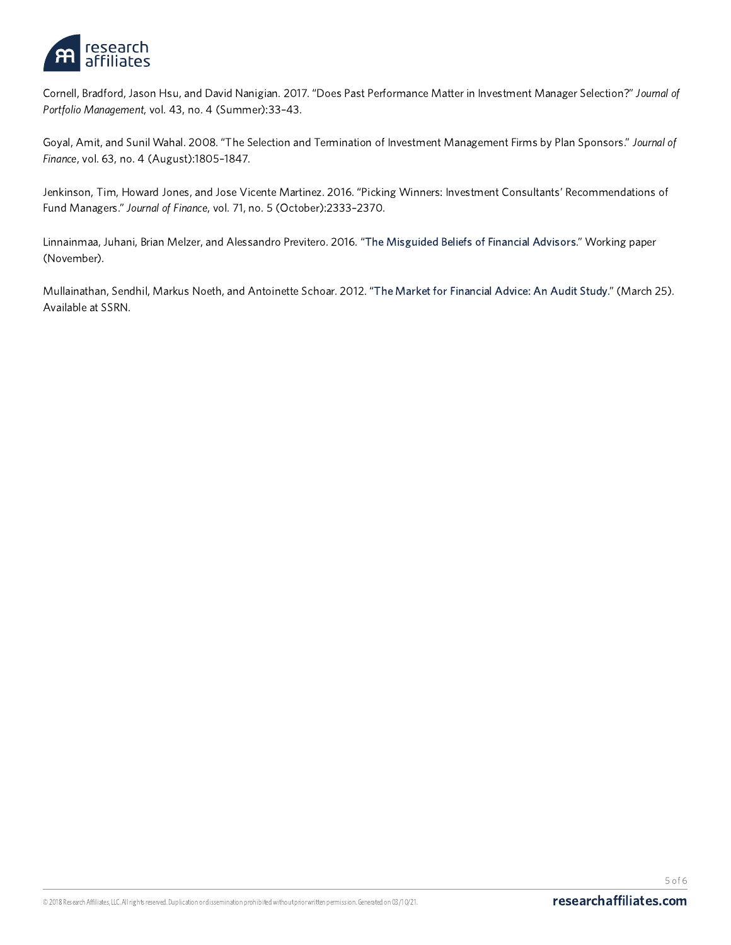

Cornell, Bradford, Jason Hsu, and David Nanigian. 2017. "Does Past Performance Matter in Investment Manager Selection?" Journal of Portfolio Management, vol. 43, no. 4 (Summer):33–43.

Goyal, Amit, and Sunil Wahal. 2008. "The Selection and Termination of Investment Management Firms by Plan Sponsors." Journal of Finance, vol. 63, no. 4 (August):1805–1847.

Jenkinson, Tim, Howard Jones, and Jose Vicente Martinez. 2016. "Picking Winners: Investment Consultants' Recommendations of Fund Managers." Journal of Finance, vol. 71, no. 5 (October):2333–2370.

Linnainmaa, Juhani, Brian Melzer, and Alessandro Previtero. 2016. "The [Misguided](https://faculty.kellogg.northwestern.edu/models/faculty/m_download_document.php?id=319) Beliefs of Financial Advisors." Working paper (November).

Mullainathan, Sendhil, Markus Noeth, and Antoinette Schoar. 2012. "The Market for [Financial](https://papers.ssrn.com/sol3/papers.cfm?abstract_id=2028263) Advice: An Audit Study." (March 25). Available at SSRN.

5 of 6